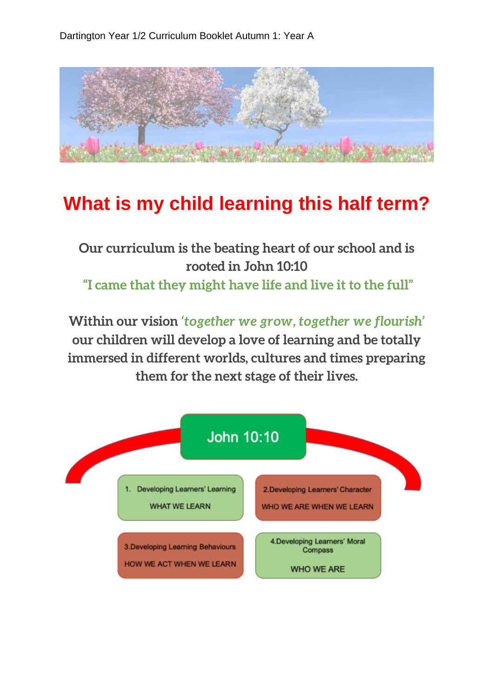

## **What is my child learning this half term?**

**Our curriculum is the beating heart of our school and is rooted in John 10:10 "I came that they might have life and live it to the full"**

**Within our vision** *'together we grow, together we flourish'*  **our children will develop a love of learning and be totally immersed in different worlds, cultures and times preparing them for the next stage of their lives.**

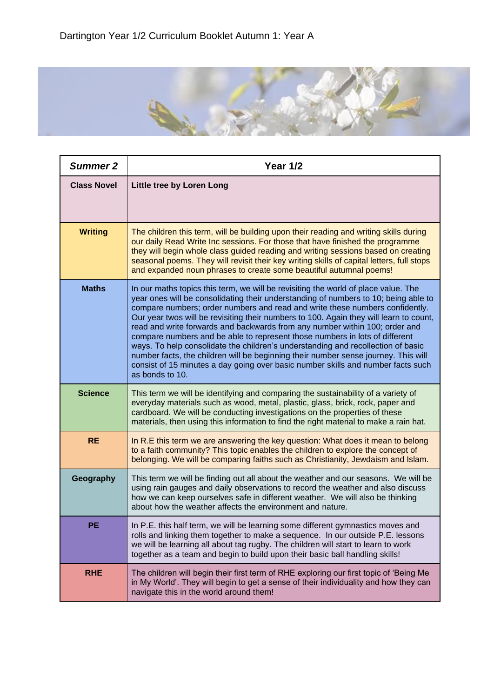

| <b>Summer 2</b>    | <b>Year 1/2</b>                                                                                                                                                                                                                                                                                                                                                                                                                                                                                                                                                                                                                                                                                                                                                                                    |
|--------------------|----------------------------------------------------------------------------------------------------------------------------------------------------------------------------------------------------------------------------------------------------------------------------------------------------------------------------------------------------------------------------------------------------------------------------------------------------------------------------------------------------------------------------------------------------------------------------------------------------------------------------------------------------------------------------------------------------------------------------------------------------------------------------------------------------|
| <b>Class Novel</b> | <b>Little tree by Loren Long</b>                                                                                                                                                                                                                                                                                                                                                                                                                                                                                                                                                                                                                                                                                                                                                                   |
| <b>Writing</b>     | The children this term, will be building upon their reading and writing skills during<br>our daily Read Write Inc sessions. For those that have finished the programme<br>they will begin whole class guided reading and writing sessions based on creating<br>seasonal poems. They will revisit their key writing skills of capital letters, full stops<br>and expanded noun phrases to create some beautiful autumnal poems!                                                                                                                                                                                                                                                                                                                                                                     |
| <b>Maths</b>       | In our maths topics this term, we will be revisiting the world of place value. The<br>year ones will be consolidating their understanding of numbers to 10; being able to<br>compare numbers; order numbers and read and write these numbers confidently.<br>Our year twos will be revisiting their numbers to 100. Again they will learn to count,<br>read and write forwards and backwards from any number within 100; order and<br>compare numbers and be able to represent those numbers in lots of different<br>ways. To help consolidate the children's understanding and recollection of basic<br>number facts, the children will be beginning their number sense journey. This will<br>consist of 15 minutes a day going over basic number skills and number facts such<br>as bonds to 10. |
| <b>Science</b>     | This term we will be identifying and comparing the sustainability of a variety of<br>everyday materials such as wood, metal, plastic, glass, brick, rock, paper and<br>cardboard. We will be conducting investigations on the properties of these<br>materials, then using this information to find the right material to make a rain hat.                                                                                                                                                                                                                                                                                                                                                                                                                                                         |
| <b>RE</b>          | In R.E this term we are answering the key question: What does it mean to belong<br>to a faith community? This topic enables the children to explore the concept of<br>belonging. We will be comparing faiths such as Christianity, Jewdaism and Islam.                                                                                                                                                                                                                                                                                                                                                                                                                                                                                                                                             |
| Geography          | This term we will be finding out all about the weather and our seasons. We will be<br>using rain gauges and daily observations to record the weather and also discuss<br>how we can keep ourselves safe in different weather. We will also be thinking<br>about how the weather affects the environment and nature.                                                                                                                                                                                                                                                                                                                                                                                                                                                                                |
| PE                 | In P.E. this half term, we will be learning some different gymnastics moves and<br>rolls and linking them together to make a sequence. In our outside P.E. lessons<br>we will be learning all about tag rugby. The children will start to learn to work<br>together as a team and begin to build upon their basic ball handling skills!                                                                                                                                                                                                                                                                                                                                                                                                                                                            |
| <b>RHE</b>         | The children will begin their first term of RHE exploring our first topic of 'Being Me<br>in My World'. They will begin to get a sense of their individuality and how they can<br>navigate this in the world around them!                                                                                                                                                                                                                                                                                                                                                                                                                                                                                                                                                                          |